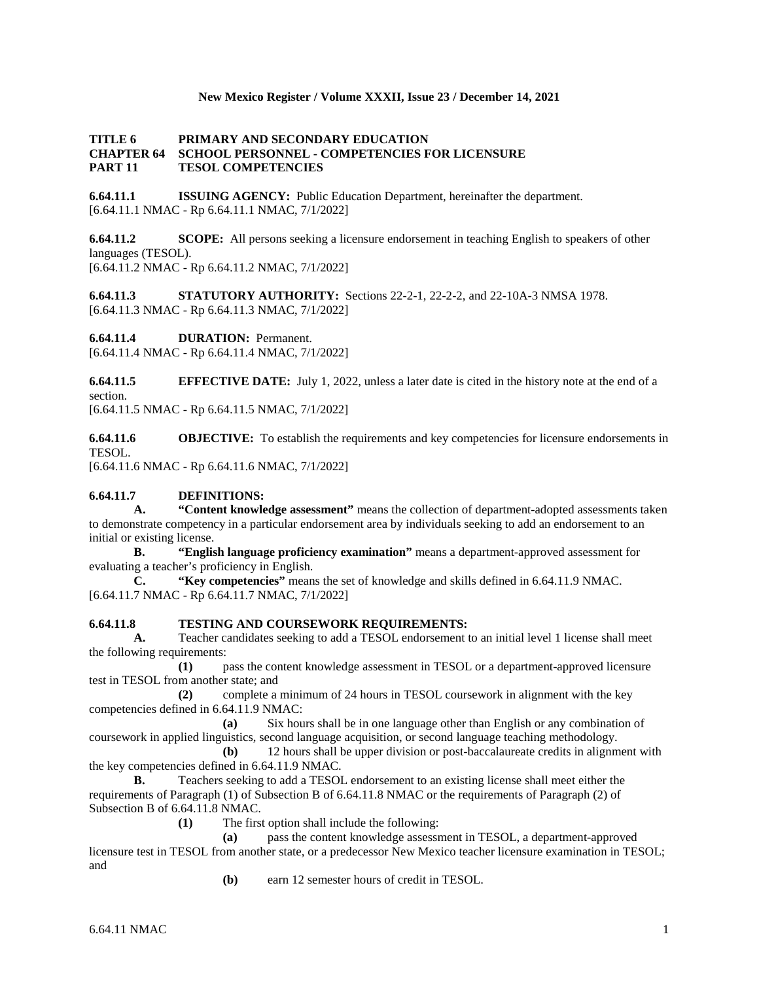## **New Mexico Register / Volume XXXII, Issue 23 / December 14, 2021**

### **TITLE 6 PRIMARY AND SECONDARY EDUCATION CHAPTER 64 SCHOOL PERSONNEL - COMPETENCIES FOR LICENSURE PART 11 TESOL COMPETENCIES**

**6.64.11.1 ISSUING AGENCY:** Public Education Department, hereinafter the department. [6.64.11.1 NMAC - Rp 6.64.11.1 NMAC, 7/1/2022]

**6.64.11.2 SCOPE:** All persons seeking a licensure endorsement in teaching English to speakers of other languages (TESOL). [6.64.11.2 NMAC - Rp 6.64.11.2 NMAC, 7/1/2022]

**6.64.11.3 STATUTORY AUTHORITY:** Sections 22-2-1, 22-2-2, and 22-10A-3 NMSA 1978. [6.64.11.3 NMAC - Rp 6.64.11.3 NMAC, 7/1/2022]

**6.64.11.4 DURATION:** Permanent.

[6.64.11.4 NMAC - Rp 6.64.11.4 NMAC, 7/1/2022]

**6.64.11.5 EFFECTIVE DATE:** July 1, 2022, unless a later date is cited in the history note at the end of a section.

[6.64.11.5 NMAC - Rp 6.64.11.5 NMAC, 7/1/2022]

**6.64.11.6 OBJECTIVE:** To establish the requirements and key competencies for licensure endorsements in TESOL.

[6.64.11.6 NMAC - Rp 6.64.11.6 NMAC, 7/1/2022]

## **6.64.11.7 DEFINITIONS:**

**A. "Content knowledge assessment"** means the collection of department-adopted assessments taken to demonstrate competency in a particular endorsement area by individuals seeking to add an endorsement to an initial or existing license.

**B. "English language proficiency examination"** means a department-approved assessment for evaluating a teacher's proficiency in English.

**C. "Key competencies"** means the set of knowledge and skills defined in 6.64.11.9 NMAC. [6.64.11.7 NMAC - Rp 6.64.11.7 NMAC, 7/1/2022]

#### **6.64.11.8 TESTING AND COURSEWORK REQUIREMENTS:**

**A.** Teacher candidates seeking to add a TESOL endorsement to an initial level 1 license shall meet the following requirements:

**(1)** pass the content knowledge assessment in TESOL or a department-approved licensure test in TESOL from another state; and

**(2)** complete a minimum of 24 hours in TESOL coursework in alignment with the key competencies defined in 6.64.11.9 NMAC:

**(a)** Six hours shall be in one language other than English or any combination of coursework in applied linguistics, second language acquisition, or second language teaching methodology.

**(b)** 12 hours shall be upper division or post-baccalaureate credits in alignment with the key competencies defined in 6.64.11.9 NMAC.

**B.** Teachers seeking to add a TESOL endorsement to an existing license shall meet either the requirements of Paragraph (1) of Subsection B of 6.64.11.8 NMAC or the requirements of Paragraph (2) of Subsection B of 6.64.11.8 NMAC.

**(1)** The first option shall include the following:

**(a)** pass the content knowledge assessment in TESOL, a department-approved licensure test in TESOL from another state, or a predecessor New Mexico teacher licensure examination in TESOL; and

**(b)** earn 12 semester hours of credit in TESOL.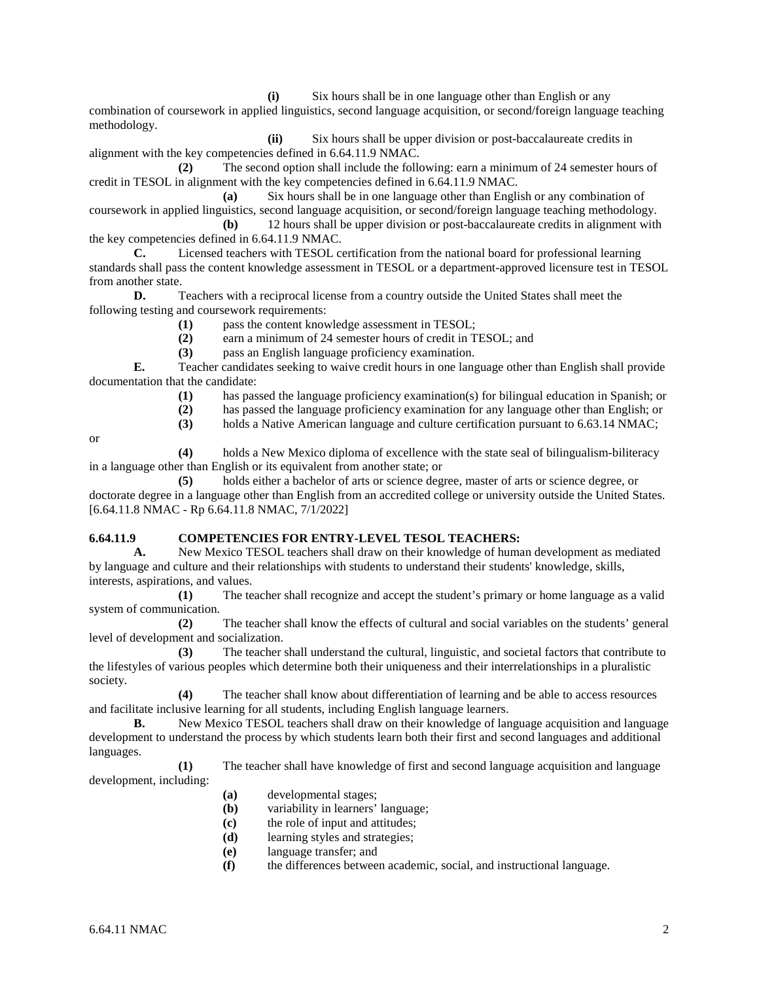**(i)** Six hours shall be in one language other than English or any combination of coursework in applied linguistics, second language acquisition, or second/foreign language teaching methodology.

**(ii)** Six hours shall be upper division or post-baccalaureate credits in alignment with the key competencies defined in 6.64.11.9 NMAC.

**(2)** The second option shall include the following: earn a minimum of 24 semester hours of credit in TESOL in alignment with the key competencies defined in 6.64.11.9 NMAC.

**(a)** Six hours shall be in one language other than English or any combination of coursework in applied linguistics, second language acquisition, or second/foreign language teaching methodology.

**(b)** 12 hours shall be upper division or post-baccalaureate credits in alignment with the key competencies defined in 6.64.11.9 NMAC.

**C.** Licensed teachers with TESOL certification from the national board for professional learning standards shall pass the content knowledge assessment in TESOL or a department-approved licensure test in TESOL from another state.

**D.** Teachers with a reciprocal license from a country outside the United States shall meet the following testing and coursework requirements:

- **(1)** pass the content knowledge assessment in TESOL;
- **(2)** earn a minimum of 24 semester hours of credit in TESOL; and

**(3)** pass an English language proficiency examination.

**E.** Teacher candidates seeking to waive credit hours in one language other than English shall provide documentation that the candidate:

- **(1)** has passed the language proficiency examination(s) for bilingual education in Spanish; or
- **(2)** has passed the language proficiency examination for any language other than English; or
- **(3)** holds a Native American language and culture certification pursuant to 6.63.14 NMAC;

or

**(4)** holds a New Mexico diploma of excellence with the state seal of bilingualism-biliteracy in a language other than English or its equivalent from another state; or

**(5)** holds either a bachelor of arts or science degree, master of arts or science degree, or doctorate degree in a language other than English from an accredited college or university outside the United States. [6.64.11.8 NMAC - Rp 6.64.11.8 NMAC, 7/1/2022]

## **6.64.11.9 COMPETENCIES FOR ENTRY-LEVEL TESOL TEACHERS:**

**A.** New Mexico TESOL teachers shall draw on their knowledge of human development as mediated by language and culture and their relationships with students to understand their students' knowledge, skills, interests, aspirations, and values.

**(1)** The teacher shall recognize and accept the student's primary or home language as a valid system of communication.

**(2)** The teacher shall know the effects of cultural and social variables on the students' general level of development and socialization.

**(3)** The teacher shall understand the cultural, linguistic, and societal factors that contribute to the lifestyles of various peoples which determine both their uniqueness and their interrelationships in a pluralistic society.

**(4)** The teacher shall know about differentiation of learning and be able to access resources and facilitate inclusive learning for all students, including English language learners.

**B.** New Mexico TESOL teachers shall draw on their knowledge of language acquisition and language development to understand the process by which students learn both their first and second languages and additional languages.

**(1)** The teacher shall have knowledge of first and second language acquisition and language development, including:

- **(a)** developmental stages;
- **(b)** variability in learners' language;
- **(c)** the role of input and attitudes;
- **(d)** learning styles and strategies;
- **(e)** language transfer; and
- **(f)** the differences between academic, social, and instructional language.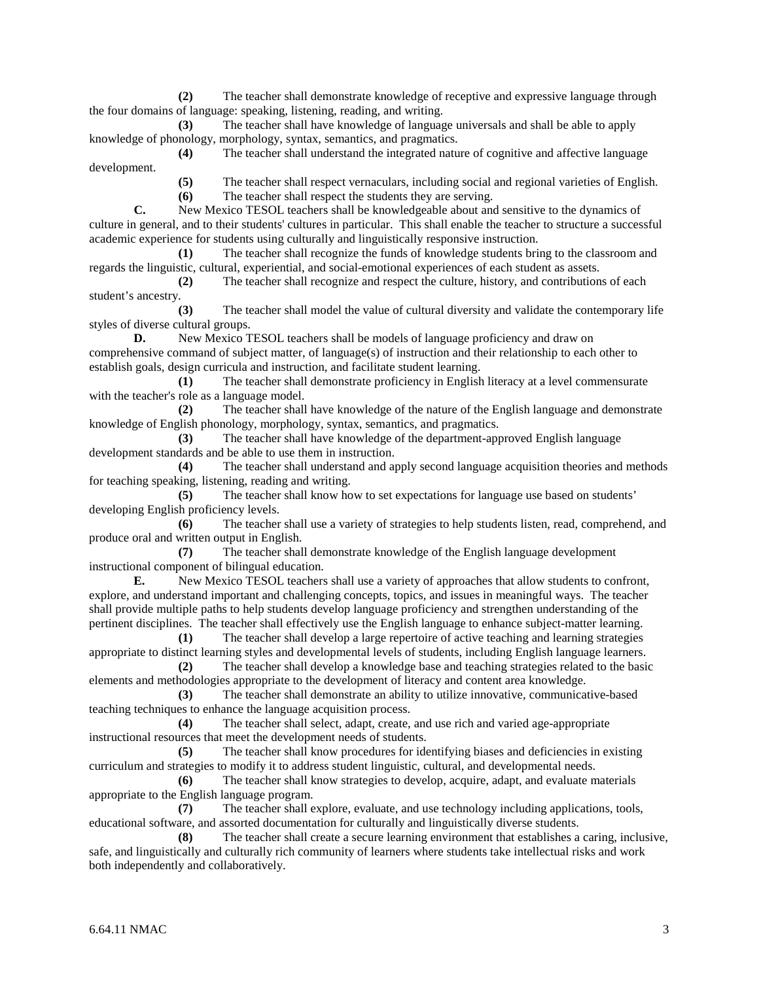**(2)** The teacher shall demonstrate knowledge of receptive and expressive language through the four domains of language: speaking, listening, reading, and writing.

**(3)** The teacher shall have knowledge of language universals and shall be able to apply knowledge of phonology, morphology, syntax, semantics, and pragmatics.

**(4)** The teacher shall understand the integrated nature of cognitive and affective language development.

**(5)** The teacher shall respect vernaculars, including social and regional varieties of English.

**(6)** The teacher shall respect the students they are serving.

**C.** New Mexico TESOL teachers shall be knowledgeable about and sensitive to the dynamics of culture in general, and to their students' cultures in particular. This shall enable the teacher to structure a successful academic experience for students using culturally and linguistically responsive instruction.

**(1)** The teacher shall recognize the funds of knowledge students bring to the classroom and regards the linguistic, cultural, experiential, and social-emotional experiences of each student as assets.

**(2)** The teacher shall recognize and respect the culture, history, and contributions of each student's ancestry.

**(3)** The teacher shall model the value of cultural diversity and validate the contemporary life styles of diverse cultural groups.

**D.** New Mexico TESOL teachers shall be models of language proficiency and draw on comprehensive command of subject matter, of language(s) of instruction and their relationship to each other to establish goals, design curricula and instruction, and facilitate student learning.

**(1)** The teacher shall demonstrate proficiency in English literacy at a level commensurate with the teacher's role as a language model.

**(2)** The teacher shall have knowledge of the nature of the English language and demonstrate knowledge of English phonology, morphology, syntax, semantics, and pragmatics.

**(3)** The teacher shall have knowledge of the department-approved English language development standards and be able to use them in instruction.

**(4)** The teacher shall understand and apply second language acquisition theories and methods for teaching speaking, listening, reading and writing.

**(5)** The teacher shall know how to set expectations for language use based on students' developing English proficiency levels.

**(6)** The teacher shall use a variety of strategies to help students listen, read, comprehend, and produce oral and written output in English.

**(7)** The teacher shall demonstrate knowledge of the English language development instructional component of bilingual education.

**E.** New Mexico TESOL teachers shall use a variety of approaches that allow students to confront, explore, and understand important and challenging concepts, topics, and issues in meaningful ways. The teacher shall provide multiple paths to help students develop language proficiency and strengthen understanding of the pertinent disciplines. The teacher shall effectively use the English language to enhance subject-matter learning.

**(1)** The teacher shall develop a large repertoire of active teaching and learning strategies appropriate to distinct learning styles and developmental levels of students, including English language learners. **(2)** The teacher shall develop a knowledge base and teaching strategies related to the basic

elements and methodologies appropriate to the development of literacy and content area knowledge.<br>(3) The teacher shall demonstrate an ability to utilize innovative, communical

**(3)** The teacher shall demonstrate an ability to utilize innovative, communicative-based teaching techniques to enhance the language acquisition process.

**(4)** The teacher shall select, adapt, create, and use rich and varied age-appropriate instructional resources that meet the development needs of students.

**(5)** The teacher shall know procedures for identifying biases and deficiencies in existing curriculum and strategies to modify it to address student linguistic, cultural, and developmental needs.

**(6)** The teacher shall know strategies to develop, acquire, adapt, and evaluate materials appropriate to the English language program.

**(7)** The teacher shall explore, evaluate, and use technology including applications, tools, educational software, and assorted documentation for culturally and linguistically diverse students.

**(8)** The teacher shall create a secure learning environment that establishes a caring, inclusive, safe, and linguistically and culturally rich community of learners where students take intellectual risks and work both independently and collaboratively.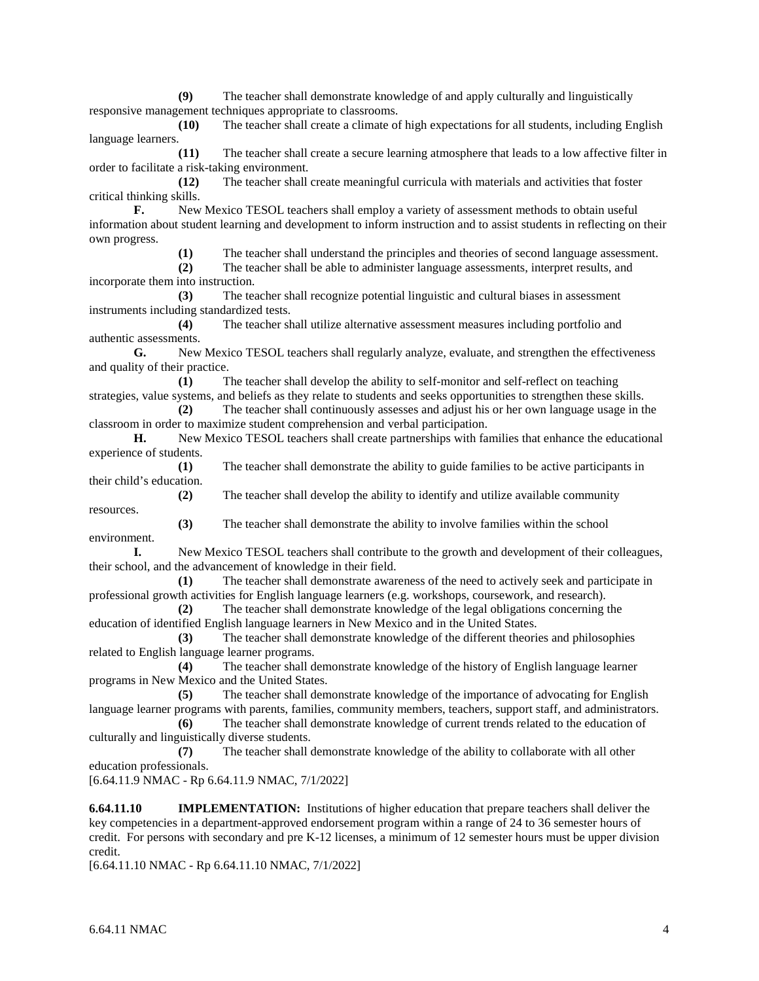**(9)** The teacher shall demonstrate knowledge of and apply culturally and linguistically responsive management techniques appropriate to classrooms.

**(10)** The teacher shall create a climate of high expectations for all students, including English language learners.

**(11)** The teacher shall create a secure learning atmosphere that leads to a low affective filter in order to facilitate a risk-taking environment.

**(12)** The teacher shall create meaningful curricula with materials and activities that foster critical thinking skills.

**F.** New Mexico TESOL teachers shall employ a variety of assessment methods to obtain useful information about student learning and development to inform instruction and to assist students in reflecting on their own progress.

**(1)** The teacher shall understand the principles and theories of second language assessment.

**(2)** The teacher shall be able to administer language assessments, interpret results, and incorporate them into instruction.

**(3)** The teacher shall recognize potential linguistic and cultural biases in assessment instruments including standardized tests.

**(4)** The teacher shall utilize alternative assessment measures including portfolio and authentic assessments.

**G.** New Mexico TESOL teachers shall regularly analyze, evaluate, and strengthen the effectiveness and quality of their practice.

**(1)** The teacher shall develop the ability to self-monitor and self-reflect on teaching strategies, value systems, and beliefs as they relate to students and seeks opportunities to strengthen these skills.

**(2)** The teacher shall continuously assesses and adjust his or her own language usage in the classroom in order to maximize student comprehension and verbal participation.

**H.** New Mexico TESOL teachers shall create partnerships with families that enhance the educational experience of students.

**(1)** The teacher shall demonstrate the ability to guide families to be active participants in their child's education.

**(2)** The teacher shall develop the ability to identify and utilize available community resources.

**(3)** The teacher shall demonstrate the ability to involve families within the school environment.

**I.** New Mexico TESOL teachers shall contribute to the growth and development of their colleagues, their school, and the advancement of knowledge in their field.

**(1)** The teacher shall demonstrate awareness of the need to actively seek and participate in professional growth activities for English language learners (e.g. workshops, coursework, and research).

**(2)** The teacher shall demonstrate knowledge of the legal obligations concerning the education of identified English language learners in New Mexico and in the United States.

**(3)** The teacher shall demonstrate knowledge of the different theories and philosophies related to English language learner programs.

**(4)** The teacher shall demonstrate knowledge of the history of English language learner programs in New Mexico and the United States.

**(5)** The teacher shall demonstrate knowledge of the importance of advocating for English language learner programs with parents, families, community members, teachers, support staff, and administrators.

**(6)** The teacher shall demonstrate knowledge of current trends related to the education of culturally and linguistically diverse students.

**(7)** The teacher shall demonstrate knowledge of the ability to collaborate with all other education professionals.

[6.64.11.9 NMAC - Rp 6.64.11.9 NMAC, 7/1/2022]

**6.64.11.10 IMPLEMENTATION:** Institutions of higher education that prepare teachers shall deliver the key competencies in a department-approved endorsement program within a range of 24 to 36 semester hours of credit. For persons with secondary and pre K-12 licenses, a minimum of 12 semester hours must be upper division credit.

[6.64.11.10 NMAC - Rp 6.64.11.10 NMAC, 7/1/2022]